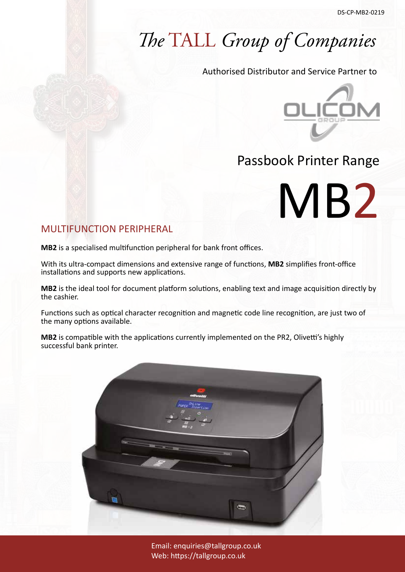## *The* TALL *Group of Companies*

Authorised Distributor and Service Partner to



MB2

### Passbook Printer Range

### MULTIFUNCTION PERIPHERAL

**MB2** is a specialised multifunction peripheral for bank front offices.

With its ultra-compact dimensions and extensive range of functions, **MB2** simplifies front-office installations and supports new applications.

**MB2** is the ideal tool for document platform solutions, enabling text and image acquisition directly by the cashier.

Functions such as optical character recognition and magnetic code line recognition, are just two of the many options available.

**MB2** is compatible with the applications currently implemented on the PR2, Olivetti's highly successful bank printer.



Email: enquiries@tallgroup.co.uk Web: https://tallgroup.co.uk